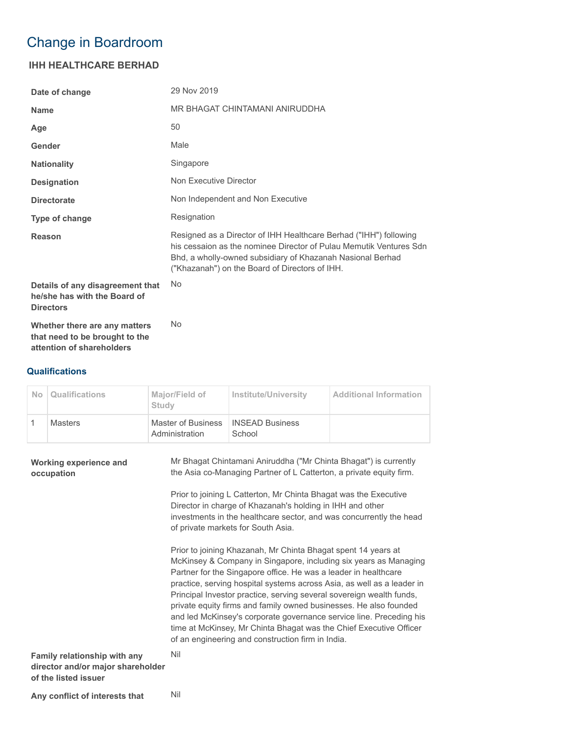## Change in Boardroom

## **IHH HEALTHCARE BERHAD**

| Date of change                                                                               | 29 Nov 2019                                                                                                                                                                                                                                             |
|----------------------------------------------------------------------------------------------|---------------------------------------------------------------------------------------------------------------------------------------------------------------------------------------------------------------------------------------------------------|
| <b>Name</b>                                                                                  | MR BHAGAT CHINTAMANI ANIRUDDHA                                                                                                                                                                                                                          |
| Age                                                                                          | 50                                                                                                                                                                                                                                                      |
| Gender                                                                                       | Male                                                                                                                                                                                                                                                    |
| <b>Nationality</b>                                                                           | Singapore                                                                                                                                                                                                                                               |
| <b>Designation</b>                                                                           | Non Executive Director                                                                                                                                                                                                                                  |
| <b>Directorate</b>                                                                           | Non Independent and Non Executive                                                                                                                                                                                                                       |
| Type of change                                                                               | Resignation                                                                                                                                                                                                                                             |
| Reason                                                                                       | Resigned as a Director of IHH Healthcare Berhad ("IHH") following<br>his cessaion as the nominee Director of Pulau Memutik Ventures Sdn<br>Bhd, a wholly-owned subsidiary of Khazanah Nasional Berhad<br>("Khazanah") on the Board of Directors of IHH. |
| Details of any disagreement that<br>he/she has with the Board of<br><b>Directors</b>         | <b>No</b>                                                                                                                                                                                                                                               |
| Whether there are any matters<br>that need to be brought to the<br>attention of shareholders | <b>No</b>                                                                                                                                                                                                                                               |

## **Qualifications**

| N <sub>o</sub> | <b>Qualifications</b> | Major/Field of<br>Study              | Institute/University             | <b>Additional Information</b> |
|----------------|-----------------------|--------------------------------------|----------------------------------|-------------------------------|
|                | <b>Masters</b>        | Master of Business<br>Administration | <b>INSEAD Business</b><br>School |                               |

| <b>Working experience and</b><br>occupation                                               | Mr Bhagat Chintamani Aniruddha ("Mr Chinta Bhagat") is currently<br>the Asia co-Managing Partner of L Catterton, a private equity firm.                                                                                                                                                                                                                                                                                                                                                                                                                                                                                       |
|-------------------------------------------------------------------------------------------|-------------------------------------------------------------------------------------------------------------------------------------------------------------------------------------------------------------------------------------------------------------------------------------------------------------------------------------------------------------------------------------------------------------------------------------------------------------------------------------------------------------------------------------------------------------------------------------------------------------------------------|
|                                                                                           | Prior to joining L Catterton, Mr Chinta Bhagat was the Executive<br>Director in charge of Khazanah's holding in IHH and other<br>investments in the healthcare sector, and was concurrently the head<br>of private markets for South Asia.                                                                                                                                                                                                                                                                                                                                                                                    |
|                                                                                           | Prior to joining Khazanah, Mr Chinta Bhagat spent 14 years at<br>McKinsey & Company in Singapore, including six years as Managing<br>Partner for the Singapore office. He was a leader in healthcare<br>practice, serving hospital systems across Asia, as well as a leader in<br>Principal Investor practice, serving several sovereign wealth funds,<br>private equity firms and family owned businesses. He also founded<br>and led McKinsey's corporate governance service line. Preceding his<br>time at McKinsey, Mr Chinta Bhagat was the Chief Executive Officer<br>of an engineering and construction firm in India. |
| Family relationship with any<br>director and/or major shareholder<br>of the listed issuer | Nil                                                                                                                                                                                                                                                                                                                                                                                                                                                                                                                                                                                                                           |

Any conflict of interests that Nil